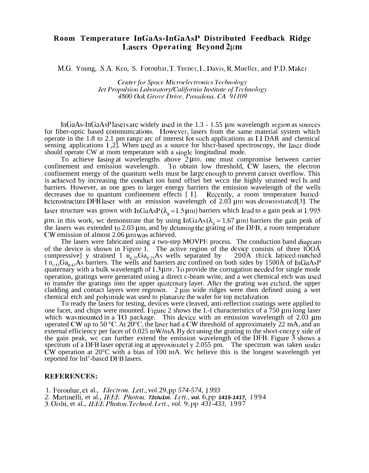## **Room Temperature InGaAs-InGaAsI' Distributed Feedback Ridge Lasers Operating Beyond**  $2\mu$ **m**

M.G. Young, S.A. Kco, S. Forouhar, T. Turner, L. Davis, R. Mueller, and P.D. Maker

**Center for Space Microelectronics Technology Jet Propulsion Laboratory/California Institute of Technology** 4800 Oak Grove Drive, Pasadena, CA 91109

 $lnGaAs-InGaAsP$  lasers are widely used in the  $1.3 - 1.55$   $\mu$ m wavelength region as sources for fiber-optic based communications. However, lasers from the same material system which operate in the  $1.8$  to  $2.1$  pm range arc of interest for such applications as  $1.1$  DAR and chemical sensing applications  $1,2$ . When used as a source for hlscr-based spectroscopy, the laser diode should operate CW at room temperature with a single longitudinal mode.

To achieve lasing at wavelengths above  $2\mu$ m, one must compromise between carrier confinement and emission wavelength. To obtain low threshold, CW lasers, the electron confinement energy of the quantum wells must be large enough to prevent carricr overflow. This is achieved by increasing the conduct ion band offset bet wccn the highly strained wel Is and barriers. However, as one goes to larger energy barriers the emission wavelength of the wells decreases due to quantum confinement effects [ 1]. Recently, a room temperature buriedheterostructure DFB laser with an emission wavelength of  $2.03$  µm was demonstrated[3]. The laser structure was grown with InGaAsP( $\lambda_{\rm g}$  = 1.5 µm) barriers which lead to a gain peak at 1.995  $\mu$ m. in this work, we demonstrate that by using InGaAs ( $\lambda$ <sub>g</sub> = 1.67  $\mu$ m) barriers the gain peak of the lasers was extended to  $2.03 \mu m$ , and by detuning the grating of the DFB, a room temperature  $CW$  emission of almost 2.06  $\mu$ m was achieved.

The lasers were fabricated using a two-step MOVPE process. The conduction band diagram of the device is shown in Figure 1. The active region of the devicg consists of three lOOA compressive] y strained 1  $n_{0.75}Ga_{0.25}As$  wells separated by 200A thick latticed-matched I  $n_{0.53}Ga_{0.47}$ As barriers. The wells and barriers are confined on both sides by 1500Å of InGaAsP quaternary with a bulk wavelength of 1.3 µm. To provide the corrugation needed for single mode operation, gratings were generated using a direct c-beam write, and a wet chemical etch was used to transfer the gratings into the upper quaternary layer. After the grating was etched, the upper cladding and contact layers were regrown.  $2 \mu m$  wide ridges were then defined using a wet chemical etch and polyimide was used to planarize the wafer for top metalization.

To ready the lasers for testing, devices were cleaved, anti-reflection coatings were applied to one facet, and chips were mounted. Figure 2 shows the I.-I characteristics of a 750  $\mu$ m long laser which was mounted in a TO package. This device with an emission wavelength of  $2.03 \mu m$ operated CW up to 50 °C. At  $20^{\circ}$ C, the laser had a CW threshold of approximately 22 mA, and an external efficiency per facet of 0.025 mW/mA. By dct uning the grating to the short-energ y side of the gain peak, wc can further extend the emission wavelength of the DFB. Figure  $\tilde{3}$  shows a spectrum of a DFB laser operat ing at approximatel y  $2.055$  pm. The spectrum was taken under  $CW$  operation at 20 $\degree$ C with a bias of 100 mA. Wc believe this is the longest wavelength yet reported for InI'-bascd DFB lasers.

## **REFERENCES:**

1. Forouhar, et al., *Electron. Lett.*, *vol.29*, *pp 574-574*, 1993

2. Martinelli, et al., *IEEE Photon.* 72cIu1ol. *Lett.*, vol. 6, pp 1415-1417, 1994

3. oishi, et al., *IElili* **P}loloji.** 7>c)tjiol. *Ixtt., vol. 9, pp 431-433,* 1997